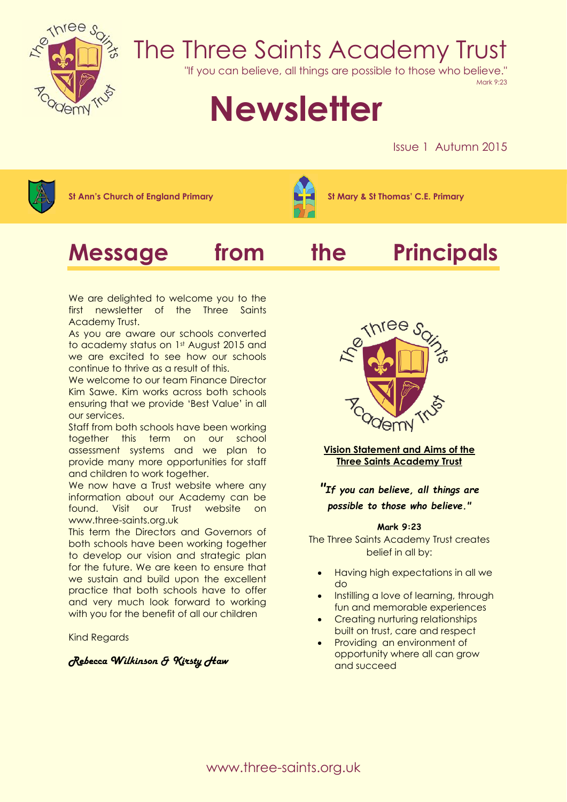

## The Three Saints Academy Trust

"If you can believe, all things are possible to those who believe."

Mark 9:23

# **Newsletter**

Issue 1 Autumn 2015



**St Ann's Church of England Primary St Mary & St Thomas' C.E. Primary**







We are delighted to welcome you to the first newsletter of the Three Saints Academy Trust.

As you are aware our schools converted to academy status on 1st August 2015 and we are excited to see how our schools continue to thrive as a result of this.

We welcome to our team Finance Director Kim Sawe. Kim works across both schools ensuring that we provide 'Best Value' in all our services.

Staff from both schools have been working together this term on our school assessment systems and we plan to provide many more opportunities for staff and children to work together.

We now have a Trust website where any information about our Academy can be found. Visit our Trust website on www.three-saints.org.uk

This term the Directors and Governors of both schools have been working together to develop our vision and strategic plan for the future. We are keen to ensure that we sustain and build upon the excellent practice that both schools have to offer and very much look forward to working with you for the benefit of all our children

Kind Regards

#### *Rebecca Wilkinson & Kirsty Haw*



**Vision Statement and Aims of the Three Saints Academy Trust**

*"If you can believe, all things are possible to those who believe."*

#### **Mark 9:23**

The Three Saints Academy Trust creates belief in all by:

- Having high expectations in all we do
- Instilling a love of learning, through fun and memorable experiences
- Creating nurturing relationships built on trust, care and respect
- Providing an environment of opportunity where all can grow and succeed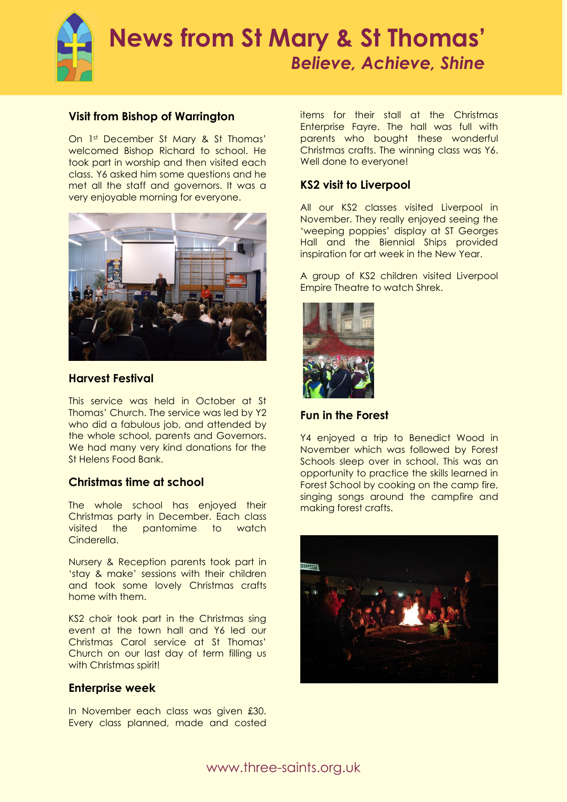

#### **Visit from Bishop of Warrington**

On 1st December St Mary & St Thomas' welcomed Bishop Richard to school. He took part in worship and then visited each class. Y6 asked him some questions and he met all the staff and governors. It was a very enjoyable morning for everyone.



#### **Harvest Festival**

This service was held in October at St Thomas' Church. The service was led by Y2 who did a fabulous job, and attended by the whole school, parents and Governors. We had many very kind donations for the St Helens Food Bank.

### **Christmas time at school**

The whole school has enjoyed their Christmas party in December. Each class visited the pantomime to watch Cinderella.

Nursery & Reception parents took part in 'stay & make' sessions with their children and took some lovely Christmas crafts home with them.

KS2 choir took part in the Christmas sing event at the town hall and Y6 led our Christmas Carol service at St Thomas' Church on our last day of term filling us with Christmas spirit!

#### **Enterprise week**

In November each class was given £30. Every class planned, made and costed items for their stall at the Christmas Enterprise Fayre. The hall was full with parents who bought these wonderful Christmas crafts. The winning class was Y6. Well done to everyone!

#### **KS2 visit to Liverpool**

All our KS2 classes visited Liverpool in November. They really enjoyed seeing the 'weeping poppies' display at ST Georges Hall and the Biennial Ships provided inspiration for art week in the New Year.

A group of KS2 children visited Liverpool Empire Theatre to watch Shrek.



**Fun in the Forest**

Y4 enjoyed a trip to Benedict Wood in November which was followed by Forest Schools sleep over in school. This was an opportunity to practice the skills learned in Forest School by cooking on the camp fire, singing songs around the campfire and making forest crafts.